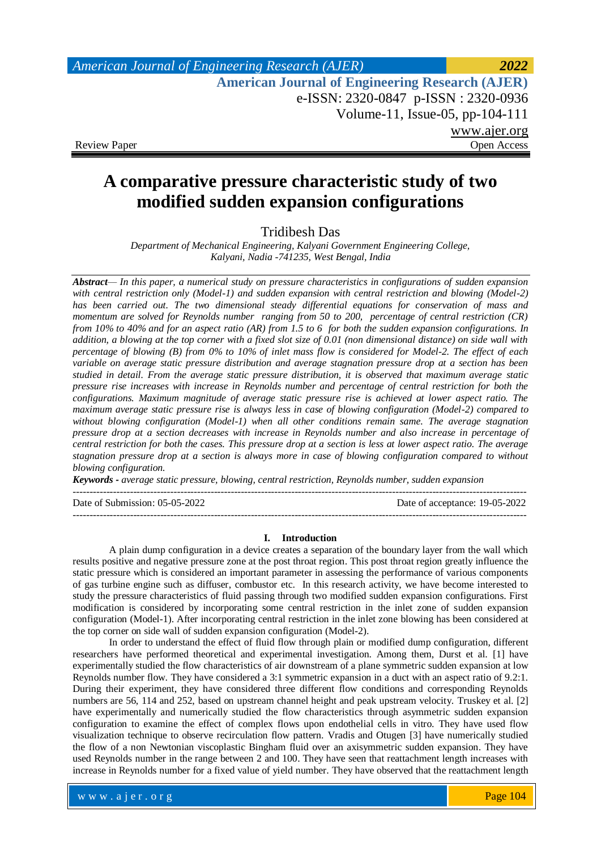# *American Journal of Engineering Research (AJER) 2022*  **American Journal of Engineering Research (AJER)** e-ISSN: 2320-0847 p-ISSN : 2320-0936 Volume-11, Issue-05, pp-104-111 www.ajer.org Review Paper **Open Access** Open Access **Open Access**

# **A comparative pressure characteristic study of two modified sudden expansion configurations**

# Tridibesh Das

*Department of Mechanical Engineering, Kalyani Government Engineering College, Kalyani, Nadia -741235, West Bengal, India*

*Abstract— In this paper, a numerical study on pressure characteristics in configurations of sudden expansion*  with central restriction only (Model-1) and sudden expansion with central restriction and blowing (Model-2) *has been carried out. The two dimensional steady differential equations for conservation of mass and momentum are solved for Reynolds number ranging from 50 to 200, percentage of central restriction (CR) from 10% to 40% and for an aspect ratio (AR) from 1.5 to 6 for both the sudden expansion configurations. In addition, a blowing at the top corner with a fixed slot size of 0.01 (non dimensional distance) on side wall with percentage of blowing (B) from 0% to 10% of inlet mass flow is considered for Model-2. The effect of each variable on average static pressure distribution and average stagnation pressure drop at a section has been studied in detail. From the average static pressure distribution, it is observed that maximum average static pressure rise increases with increase in Reynolds number and percentage of central restriction for both the configurations. Maximum magnitude of average static pressure rise is achieved at lower aspect ratio. The maximum average static pressure rise is always less in case of blowing configuration (Model-2) compared to without blowing configuration (Model-1) when all other conditions remain same. The average stagnation pressure drop at a section decreases with increase in Reynolds number and also increase in percentage of central restriction for both the cases. This pressure drop at a section is less at lower aspect ratio. The average stagnation pressure drop at a section is always more in case of blowing configuration compared to without blowing configuration.*

*Keywords - average static pressure, blowing, central restriction, Reynolds number, sudden expansion*

---------------------------------------------------------------------------------------------------------------------------------------

--------------------------------------------------------------------------------------------------------------------------------------- Date of Submission: 05-05-2022 Date of acceptance: 19-05-2022

### **I. Introduction**

A plain dump configuration in a device creates a separation of the boundary layer from the wall which results positive and negative pressure zone at the post throat region. This post throat region greatly influence the static pressure which is considered an important parameter in assessing the performance of various components of gas turbine engine such as diffuser, combustor etc. In this research activity, we have become interested to study the pressure characteristics of fluid passing through two modified sudden expansion configurations. First modification is considered by incorporating some central restriction in the inlet zone of sudden expansion configuration (Model-1). After incorporating central restriction in the inlet zone blowing has been considered at the top corner on side wall of sudden expansion configuration (Model-2).

In order to understand the effect of fluid flow through plain or modified dump configuration, different researchers have performed theoretical and experimental investigation. Among them, Durst et al. [1] have experimentally studied the flow characteristics of air downstream of a plane symmetric sudden expansion at low Reynolds number flow. They have considered a 3:1 symmetric expansion in a duct with an aspect ratio of 9.2:1. During their experiment, they have considered three different flow conditions and corresponding Reynolds numbers are 56, 114 and 252, based on upstream channel height and peak upstream velocity. Truskey et al. [2] have experimentally and numerically studied the flow characteristics through asymmetric sudden expansion configuration to examine the effect of complex flows upon endothelial cells in vitro. They have used flow visualization technique to observe recirculation flow pattern. Vradis and Otugen [3] have numerically studied the flow of a non Newtonian viscoplastic Bingham fluid over an axisymmetric sudden expansion. They have used Reynolds number in the range between 2 and 100. They have seen that reattachment length increases with increase in Reynolds number for a fixed value of yield number. They have observed that the reattachment length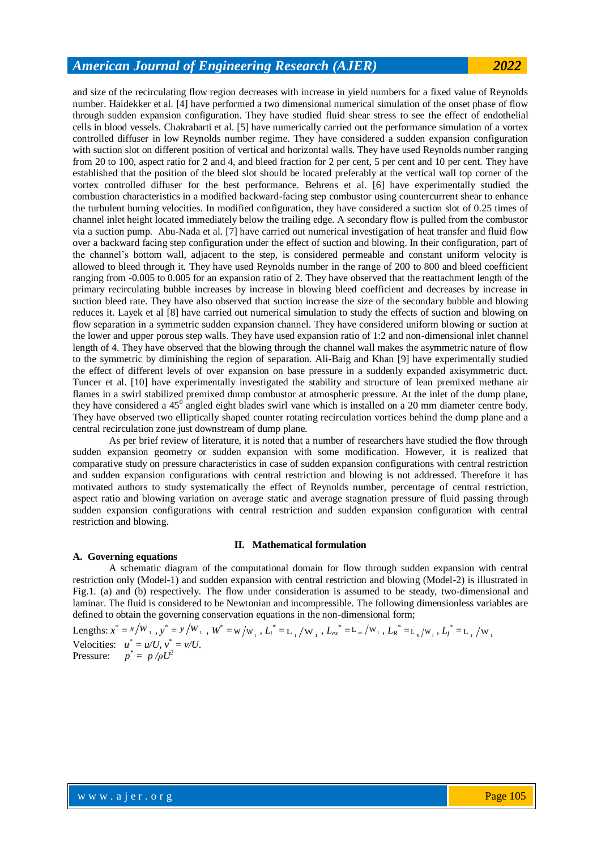and size of the recirculating flow region decreases with increase in yield numbers for a fixed value of Reynolds number. Haidekker et al. [4] have performed a two dimensional numerical simulation of the onset phase of flow through sudden expansion configuration. They have studied fluid shear stress to see the effect of endothelial cells in blood vessels. Chakrabarti et al. [5] have numerically carried out the performance simulation of a vortex controlled diffuser in low Reynolds number regime. They have considered a sudden expansion configuration with suction slot on different position of vertical and horizontal walls. They have used Reynolds number ranging from 20 to 100, aspect ratio for 2 and 4, and bleed fraction for 2 per cent, 5 per cent and 10 per cent. They have established that the position of the bleed slot should be located preferably at the vertical wall top corner of the vortex controlled diffuser for the best performance. Behrens et al. [6] have experimentally studied the combustion characteristics in a modified backward-facing step combustor using countercurrent shear to enhance the turbulent burning velocities. In modified configuration, they have considered a suction slot of 0.25 times of channel inlet height located immediately below the trailing edge. A secondary flow is pulled from the combustor via a suction pump. Abu-Nada et al. [7] have carried out numerical investigation of heat transfer and fluid flow over a backward facing step configuration under the effect of suction and blowing. In their configuration, part of the channel's bottom wall, adjacent to the step, is considered permeable and constant uniform velocity is allowed to bleed through it. They have used Reynolds number in the range of 200 to 800 and bleed coefficient ranging from -0.005 to 0.005 for an expansion ratio of 2. They have observed that the reattachment length of the primary recirculating bubble increases by increase in blowing bleed coefficient and decreases by increase in suction bleed rate. They have also observed that suction increase the size of the secondary bubble and blowing reduces it. Layek et al [8] have carried out numerical simulation to study the effects of suction and blowing on flow separation in a symmetric sudden expansion channel. They have considered uniform blowing or suction at the lower and upper porous step walls. They have used expansion ratio of 1:2 and non-dimensional inlet channel length of 4. They have observed that the blowing through the channel wall makes the asymmetric nature of flow to the symmetric by diminishing the region of separation. Ali-Baig and Khan [9] have experimentally studied the effect of different levels of over expansion on base pressure in a suddenly expanded axisymmetric duct. Tuncer et al. [10] have experimentally investigated the stability and structure of lean premixed methane air flames in a swirl stabilized premixed dump combustor at atmospheric pressure. At the inlet of the dump plane, they have considered a  $45^{\circ}$  angled eight blades swirl vane which is installed on a 20 mm diameter centre body. They have observed two elliptically shaped counter rotating recirculation vortices behind the dump plane and a central recirculation zone just downstream of dump plane.

As per brief review of literature, it is noted that a number of researchers have studied the flow through sudden expansion geometry or sudden expansion with some modification. However, it is realized that comparative study on pressure characteristics in case of sudden expansion configurations with central restriction and sudden expansion configurations with central restriction and blowing is not addressed. Therefore it has motivated authors to study systematically the effect of Reynolds number, percentage of central restriction, aspect ratio and blowing variation on average static and average stagnation pressure of fluid passing through sudden expansion configurations with central restriction and sudden expansion configuration with central restriction and blowing.

# **II. Mathematical formulation**

A schematic diagram of the computational domain for flow through sudden expansion with central restriction only (Model-1) and sudden expansion with central restriction and blowing (Model-2) is illustrated in Fig.1. (a) and (b) respectively. The flow under consideration is assumed to be steady, two-dimensional and laminar. The fluid is considered to be Newtonian and incompressible. The following dimensionless variables are defined to obtain the governing conservation equations in the non-dimensional form;

Lengths:  $x^* = x/W_1$ ,  $y^* = y/W_1$ ,  $W^* = w/w_1$ ,  $L_i^* = L_i/w_1$ ,  $L_{ex}^* = L_{ex}/w_1$ ,  $L_R^* = L_k/w_1$ ,  $L_f^* = L_f/w_1$ Velocities:  $u^* = u/U$ ,  $v^* = v/U$ . Pressure:  $p^* = p / \rho U^2$ 

**A. Governing equations**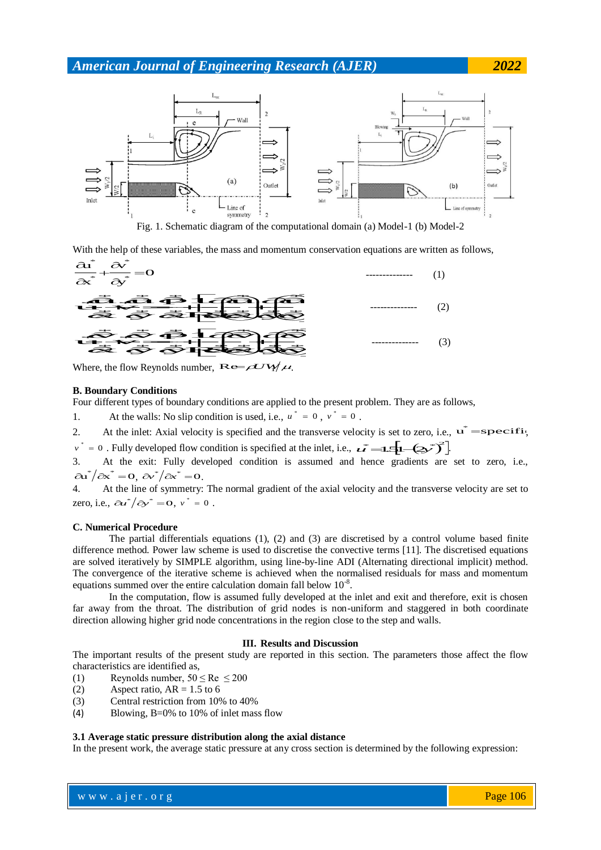

With the help of these variables, the mass and momentum conservation equations are written as follows,



#### **B. Boundary Conditions**

Four different types of boundary conditions are applied to the present problem. They are as follows,

1. At the walls: No slip condition is used, i.e.,  $u^* = 0$ ,  $v^* = 0$ .

2. At the inlet: Axial velocity is specified and the transverse velocity is set to zero, i.e.,  $\mathbf{u}^* = \mathbf{specifi}$ , ...., 1,<br>21

 $v^* = 0$ . Fully developed flow condition is specified at the inlet, i.e.,  $u^* = 1.5[-(2v^*)^2]$ .

3. At the exit: Fully developed condition is assumed and hence gradients are set to zero, i.e.,  $\partial a^* / \partial x^* = 0, \ \partial v^* / \partial x^* = 0.$ 

4. At the line of symmetry: The normal gradient of the axial velocity and the transverse velocity are set to zero, i.e.,  $\partial u^* / \partial y^* = 0$ ,  $v^* = 0$ .

#### **C. Numerical Procedure**

The partial differentials equations (1), (2) and (3) are discretised by a control volume based finite difference method. Power law scheme is used to discretise the convective terms [11]. The discretised equations are solved iteratively by SIMPLE algorithm, using line-by-line ADI (Alternating directional implicit) method. The convergence of the iterative scheme is achieved when the normalised residuals for mass and momentum equations summed over the entire calculation domain fall below  $10^{-8}$ .

In the computation, flow is assumed fully developed at the inlet and exit and therefore, exit is chosen far away from the throat. The distribution of grid nodes is non-uniform and staggered in both coordinate direction allowing higher grid node concentrations in the region close to the step and walls.

#### **III. Results and Discussion**

The important results of the present study are reported in this section. The parameters those affect the flow characteristics are identified as,

- (1) Reynolds number,  $50 \leq Re \leq 200$
- (2) Aspect ratio,  $AR = 1.5$  to 6
- (3) Central restriction from 10% to 40%
- (4) Blowing, B=0% to 10% of inlet mass flow

#### **3.1 Average static pressure distribution along the axial distance**

In the present work, the average static pressure at any cross section is determined by the following expression: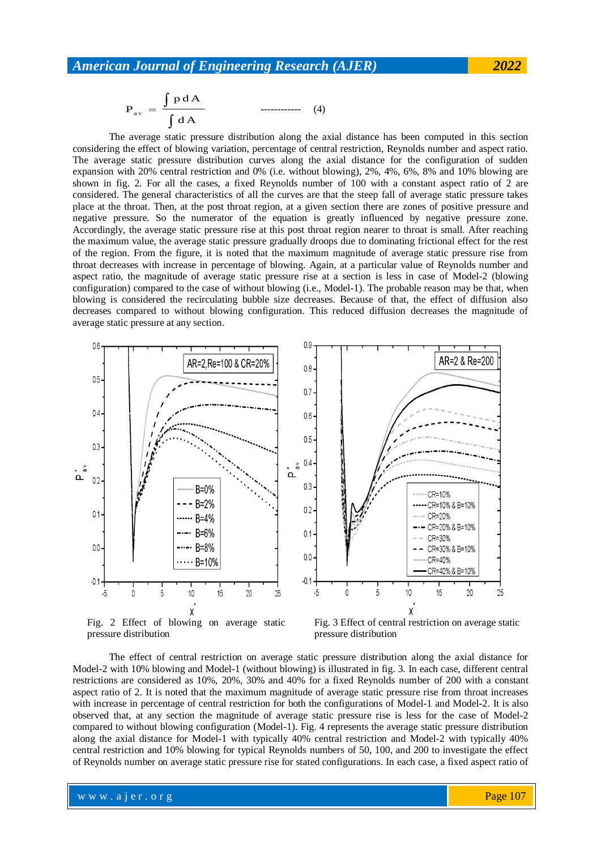$$
\mathbf{P}_{\text{av}} = \frac{\int p \, dA}{\int dA} \tag{4}
$$

The average static pressure distribution along the axial distance has been computed in this section considering the effect of blowing variation, percentage of central restriction, Reynolds number and aspect ratio. The average static pressure distribution curves along the axial distance for the configuration of sudden expansion with 20% central restriction and 0% (i.e. without blowing), 2%, 4%, 6%, 8% and 10% blowing are shown in fig. 2. For all the cases, a fixed Reynolds number of 100 with a constant aspect ratio of 2 are considered. The general characteristics of all the curves are that the steep fall of average static pressure takes place at the throat. Then, at the post throat region, at a given section there are zones of positive pressure and negative pressure. So the numerator of the equation is greatly influenced by negative pressure zone. Accordingly, the average static pressure rise at this post throat region nearer to throat is small. After reaching the maximum value, the average static pressure gradually droops due to dominating frictional effect for the rest of the region. From the figure, it is noted that the maximum magnitude of average static pressure rise from throat decreases with increase in percentage of blowing. Again, at a particular value of Reynolds number and aspect ratio, the magnitude of average static pressure rise at a section is less in case of Model-2 (blowing configuration) compared to the case of without blowing (i.e., Model-1). The probable reason may be that, when blowing is considered the recirculating bubble size decreases. Because of that, the effect of diffusion also decreases compared to without blowing configuration. This reduced diffusion decreases the magnitude of average static pressure at any section.



Fig. 2 Effect of blowing on average static pressure distribution

Fig. 3 Effect of central restriction on average static pressure distribution

The effect of central restriction on average static pressure distribution along the axial distance for Model-2 with 10% blowing and Model-1 (without blowing) is illustrated in fig. 3. In each case, different central restrictions are considered as 10%, 20%, 30% and 40% for a fixed Reynolds number of 200 with a constant aspect ratio of 2. It is noted that the maximum magnitude of average static pressure rise from throat increases with increase in percentage of central restriction for both the configurations of Model-1 and Model-2. It is also observed that, at any section the magnitude of average static pressure rise is less for the case of Model-2 compared to without blowing configuration (Model-1). Fig. 4 represents the average static pressure distribution along the axial distance for Model-1 with typically 40% central restriction and Model-2 with typically 40% central restriction and 10% blowing for typical Reynolds numbers of 50, 100, and 200 to investigate the effect of Reynolds number on average static pressure rise for stated configurations. In each case, a fixed aspect ratio of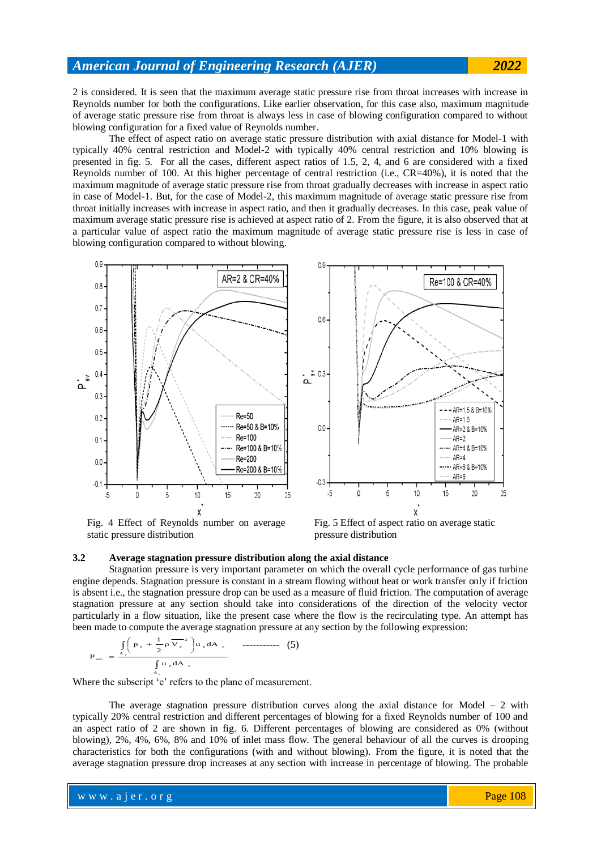2 is considered. It is seen that the maximum average static pressure rise from throat increases with increase in Reynolds number for both the configurations. Like earlier observation, for this case also, maximum magnitude of average static pressure rise from throat is always less in case of blowing configuration compared to without blowing configuration for a fixed value of Reynolds number.

The effect of aspect ratio on average static pressure distribution with axial distance for Model-1 with typically 40% central restriction and Model-2 with typically 40% central restriction and 10% blowing is presented in fig. 5. For all the cases, different aspect ratios of 1.5, 2, 4, and 6 are considered with a fixed Reynolds number of 100. At this higher percentage of central restriction (i.e., CR=40%), it is noted that the maximum magnitude of average static pressure rise from throat gradually decreases with increase in aspect ratio in case of Model-1. But, for the case of Model-2, this maximum magnitude of average static pressure rise from throat initially increases with increase in aspect ratio, and then it gradually decreases. In this case, peak value of maximum average static pressure rise is achieved at aspect ratio of 2. From the figure, it is also observed that at a particular value of aspect ratio the maximum magnitude of average static pressure rise is less in case of blowing configuration compared to without blowing.



Fig. 4 Effect of Reynolds number on average static pressure distribution

Fig. 5 Effect of aspect ratio on average static pressure distribution

#### **3.2 Average stagnation pressure distribution along the axial distance**

Stagnation pressure is very important parameter on which the overall cycle performance of gas turbine engine depends. Stagnation pressure is constant in a stream flowing without heat or work transfer only if friction is absent i.e., the stagnation pressure drop can be used as a measure of fluid friction. The computation of average stagnation pressure at any section should take into considerations of the direction of the velocity vector particularly in a flow situation, like the present case where the flow is the recirculating type. An attempt has been made to compute the average stagnation pressure at any section by the following expression:

$$
P_{\text{sav}} = \frac{\int_{A_e} \left( P_e + \frac{1}{2} \rho \overline{V_e}^2 \right) u_e dA_e}{\int_{A_e} u_e dA_e} \qquad \text{............} \tag{5}
$$

Where the subscript 'e' refers to the plane of measurement.

The average stagnation pressure distribution curves along the axial distance for Model  $-2$  with typically 20% central restriction and different percentages of blowing for a fixed Reynolds number of 100 and an aspect ratio of 2 are shown in fig. 6. Different percentages of blowing are considered as 0% (without blowing), 2%, 4%, 6%, 8% and 10% of inlet mass flow. The general behaviour of all the curves is drooping characteristics for both the configurations (with and without blowing). From the figure, it is noted that the average stagnation pressure drop increases at any section with increase in percentage of blowing. The probable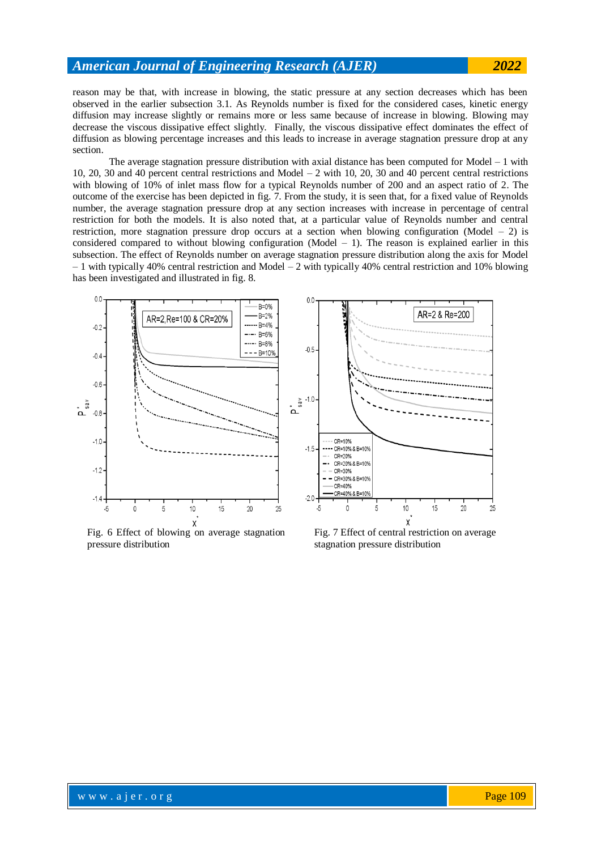reason may be that, with increase in blowing, the static pressure at any section decreases which has been observed in the earlier subsection 3.1. As Reynolds number is fixed for the considered cases, kinetic energy diffusion may increase slightly or remains more or less same because of increase in blowing. Blowing may decrease the viscous dissipative effect slightly. Finally, the viscous dissipative effect dominates the effect of diffusion as blowing percentage increases and this leads to increase in average stagnation pressure drop at any section.

The average stagnation pressure distribution with axial distance has been computed for Model  $-1$  with 10, 20, 30 and 40 percent central restrictions and Model – 2 with 10, 20, 30 and 40 percent central restrictions with blowing of 10% of inlet mass flow for a typical Reynolds number of 200 and an aspect ratio of 2. The outcome of the exercise has been depicted in fig. 7. From the study, it is seen that, for a fixed value of Reynolds number, the average stagnation pressure drop at any section increases with increase in percentage of central restriction for both the models. It is also noted that, at a particular value of Reynolds number and central restriction, more stagnation pressure drop occurs at a section when blowing configuration (Model  $-2$ ) is considered compared to without blowing configuration (Model  $-1$ ). The reason is explained earlier in this subsection. The effect of Reynolds number on average stagnation pressure distribution along the axis for Model  $-1$  with typically 40% central restriction and Model  $-2$  with typically 40% central restriction and 10% blowing has been investigated and illustrated in fig. 8.



Fig. 6 Effect of blowing on average stagnation pressure distribution

Fig. 7 Effect of central restriction on average stagnation pressure distribution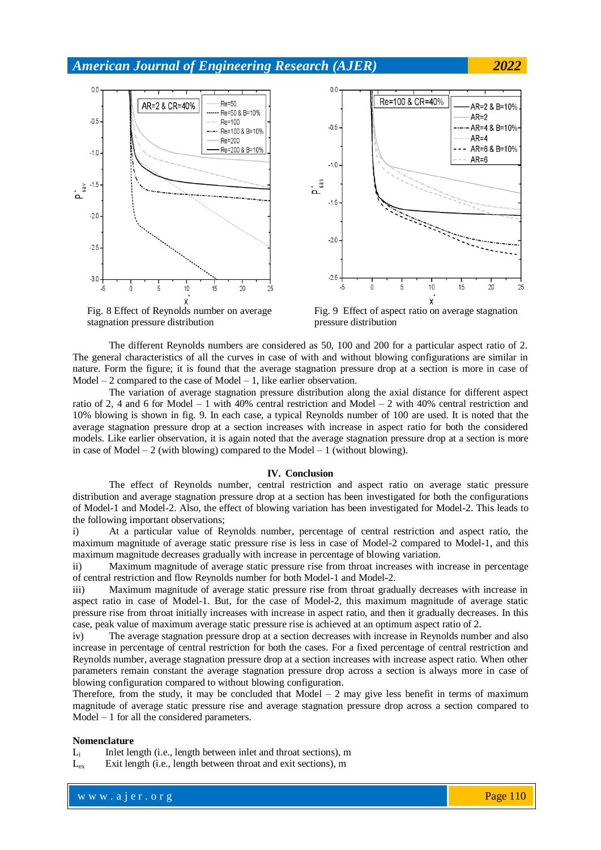



Fig. 8 Effect of Reynolds number on average stagnation pressure distribution

Fig. 9 Effect of aspect ratio on average stagnation pressure distribution

The different Reynolds numbers are considered as 50, 100 and 200 for a particular aspect ratio of 2. The general characteristics of all the curves in case of with and without blowing configurations are similar in nature. Form the figure; it is found that the average stagnation pressure drop at a section is more in case of Model  $-2$  compared to the case of Model  $-1$ , like earlier observation.

The variation of average stagnation pressure distribution along the axial distance for different aspect ratio of 2, 4 and 6 for Model – 1 with 40% central restriction and Model – 2 with 40% central restriction and 10% blowing is shown in fig. 9. In each case, a typical Reynolds number of 100 are used. It is noted that the average stagnation pressure drop at a section increases with increase in aspect ratio for both the considered models. Like earlier observation, it is again noted that the average stagnation pressure drop at a section is more in case of Model – 2 (with blowing) compared to the Model – 1 (without blowing).

#### **IV. Conclusion**

The effect of Reynolds number, central restriction and aspect ratio on average static pressure distribution and average stagnation pressure drop at a section has been investigated for both the configurations of Model-1 and Model-2. Also, the effect of blowing variation has been investigated for Model-2. This leads to the following important observations;

i) At a particular value of Reynolds number, percentage of central restriction and aspect ratio, the maximum magnitude of average static pressure rise is less in case of Model-2 compared to Model-1, and this maximum magnitude decreases gradually with increase in percentage of blowing variation.

ii) Maximum magnitude of average static pressure rise from throat increases with increase in percentage of central restriction and flow Reynolds number for both Model-1 and Model-2.

iii) Maximum magnitude of average static pressure rise from throat gradually decreases with increase in aspect ratio in case of Model-1. But, for the case of Model-2, this maximum magnitude of average static pressure rise from throat initially increases with increase in aspect ratio, and then it gradually decreases. In this case, peak value of maximum average static pressure rise is achieved at an optimum aspect ratio of 2.

iv) The average stagnation pressure drop at a section decreases with increase in Reynolds number and also increase in percentage of central restriction for both the cases. For a fixed percentage of central restriction and Reynolds number, average stagnation pressure drop at a section increases with increase aspect ratio. When other parameters remain constant the average stagnation pressure drop across a section is always more in case of blowing configuration compared to without blowing configuration.

Therefore, from the study, it may be concluded that  $Model - 2$  may give less benefit in terms of maximum magnitude of average static pressure rise and average stagnation pressure drop across a section compared to Model – 1 for all the considered parameters.

#### **Nomenclature**

 $L_i$  Inlet length (i.e., length between inlet and throat sections), m

 $L_{ex}$  Exit length (i.e., length between throat and exit sections), m